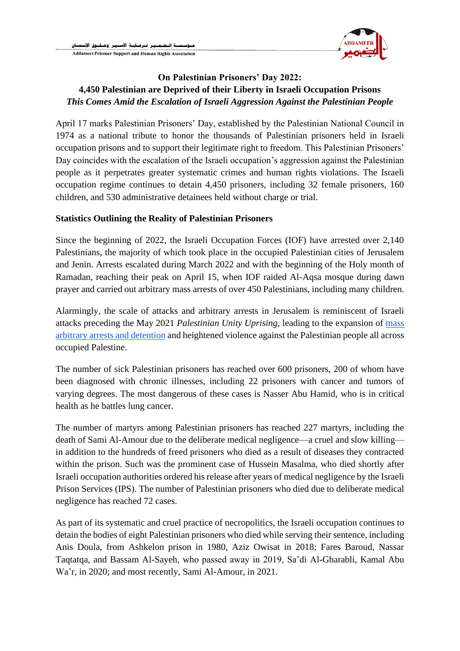

# **On Palestinian Prisoners' Day 2022: 4,450 Palestinian are Deprived of their Liberty in Israeli Occupation Prisons** *This Comes Amid the Escalation of Israeli Aggression Against the Palestinian People*

April 17 marks Palestinian Prisoners' Day, established by the Palestinian National Council in 1974 as a national tribute to honor the thousands of Palestinian prisoners held in Israeli occupation prisons and to support their legitimate right to freedom. This Palestinian Prisoners' Day coincides with the escalation of the Israeli occupation's aggression against the Palestinian people as it perpetrates greater systematic crimes and human rights violations. The Israeli occupation regime continues to detain 4,450 prisoners, including 32 female prisoners, 160 children, and 530 administrative detainees held without charge or trial.

#### **Statistics Outlining the Reality of Palestinian Prisoners**

Since the beginning of 2022, the Israeli Occupation Forces (IOF) have arrested over 2,140 Palestinians, the majority of which took place in the occupied Palestinian cities of Jerusalem and Jenin. Arrests escalated during March 2022 and with the beginning of the Holy month of Ramadan, reaching their peak on April 15, when IOF raided Al-Aqsa mosque during dawn prayer and carried out arbitrary mass arrests of over 450 Palestinians, including many children.

Alarmingly, the scale of attacks and arbitrary arrests in Jerusalem is reminiscent of Israeli attacks preceding the May 2021 *Palestinian Unity Uprising*, leading to the expansion of [mass](https://www.addameer.org/index.php/media/4393)  [arbitrary arrests and detention](https://www.addameer.org/index.php/media/4393) and heightened violence against the Palestinian people all across occupied Palestine.

The number of sick Palestinian prisoners has reached over 600 prisoners, 200 of whom have been diagnosed with chronic illnesses, including 22 prisoners with cancer and tumors of varying degrees. The most dangerous of these cases is Nasser Abu Hamid, who is in critical health as he battles lung cancer.

The number of martyrs among Palestinian prisoners has reached 227 martyrs, including the death of Sami Al-Amour due to the deliberate medical negligence—a cruel and slow killing in addition to the hundreds of freed prisoners who died as a result of diseases they contracted within the prison. Such was the prominent case of Hussein Masalma, who died shortly after Israeli occupation authorities ordered his release after years of medical negligence by the Israeli Prison Services (IPS). The number of Palestinian prisoners who died due to deliberate medical negligence has reached 72 cases.

As part of its systematic and cruel practice of necropolitics, the Israeli occupation continues to detain the bodies of eight Palestinian prisoners who died while serving their sentence, including Anis Doula, from Ashkelon prison in 1980, Aziz Owisat in 2018; Fares Baroud, Nassar Taqtatqa, and Bassam Al-Sayeh, who passed away in 2019, Sa'di Al-Gharabli, Kamal Abu Wa'r, in 2020; and most recently, Sami Al-Amour, in 2021.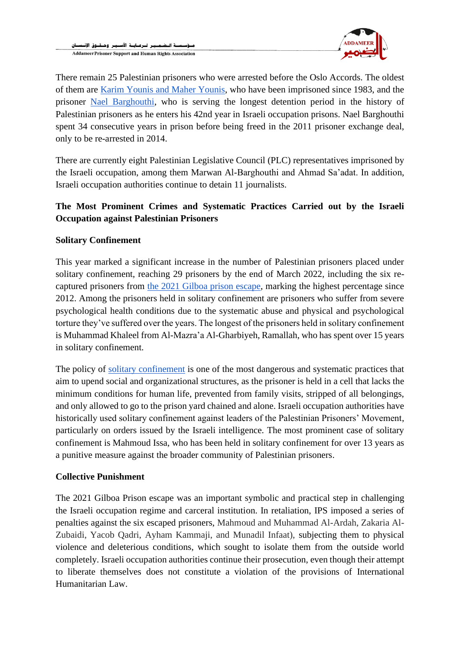

There remain 25 Palestinian prisoners who were arrested before the Oslo Accords. The oldest of them are [Karim Younis and Maher Younis,](https://www.addameer.org/news/turning-gray-israeli-prisons) who have been imprisoned since 1983, and the prisoner [Nael Barghouthi,](https://www.addameer.org/es/prisoner/4657) who is serving the longest detention period in the history of Palestinian prisoners as he enters his 42nd year in Israeli occupation prisons. Nael Barghouthi spent 34 consecutive years in prison before being freed in the 2011 prisoner exchange deal, only to be re-arrested in 2014.

There are currently eight Palestinian Legislative Council (PLC) representatives imprisoned by the Israeli occupation, among them Marwan Al-Barghouthi and Ahmad Sa'adat. In addition, Israeli occupation authorities continue to detain 11 journalists.

# **The Most Prominent Crimes and Systematic Practices Carried out by the Israeli Occupation against Palestinian Prisoners**

## **Solitary Confinement**

This year marked a significant increase in the number of Palestinian prisoners placed under solitary confinement, reaching 29 prisoners by the end of March 2022, including the six recaptured prisoners from [the 2021 Gilboa prison escape,](https://www.addameer.org/news/4495) marking the highest percentage since 2012. Among the prisoners held in solitary confinement are prisoners who suffer from severe psychological health conditions due to the systematic abuse and physical and psychological torture they've suffered over the years. The longest of the prisoners held in solitary confinement is Muhammad Khaleel from Al-Mazra'a Al-Gharbiyeh, Ramallah, who has spent over 15 years in solitary confinement.

The policy of [solitary confinement](https://www.addameer.org/publications/solitary-confinement-and-isolation) is one of the most dangerous and systematic practices that aim to upend social and organizational structures, as the prisoner is held in a cell that lacks the minimum conditions for human life, prevented from family visits, stripped of all belongings, and only allowed to go to the prison yard chained and alone. Israeli occupation authorities have historically used solitary confinement against leaders of the Palestinian Prisoners' Movement, particularly on orders issued by the Israeli intelligence. The most prominent case of solitary confinement is Mahmoud Issa, who has been held in solitary confinement for over 13 years as a punitive measure against the broader community of Palestinian prisoners.

#### **Collective Punishment**

The 2021 Gilboa Prison escape was an important symbolic and practical step in challenging the Israeli occupation regime and carceral institution. In retaliation, IPS imposed a series of penalties against the six escaped prisoners, Mahmoud and Muhammad Al-Ardah, Zakaria Al-Zubaidi, Yacob Qadri, Ayham Kammaji, and Munadil Infaat), subjecting them to physical violence and deleterious conditions, which sought to isolate them from the outside world completely. Israeli occupation authorities continue their prosecution, even though their attempt to liberate themselves does not constitute a violation of the provisions of International Humanitarian Law.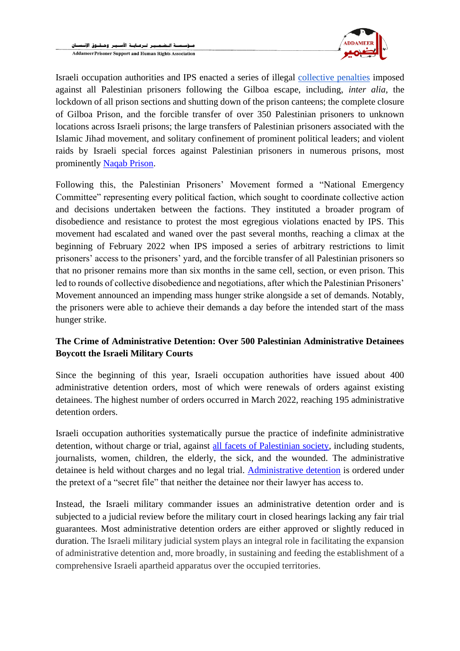

Israeli occupation authorities and IPS enacted a series of illegal [collective penalties](https://www.addameer.org/news/4505) imposed against all Palestinian prisoners following the Gilboa escape, including, *inter alia*, the lockdown of all prison sections and shutting down of the prison canteens; the complete closure of Gilboa Prison, and the forcible transfer of over 350 Palestinian prisoners to unknown locations across Israeli prisons; the large transfers of Palestinian prisoners associated with the Islamic Jihad movement, and solitary confinement of prominent political leaders; and violent raids by Israeli special forces against Palestinian prisoners in numerous prisons, most prominently [Naqab Prison.](https://www.addameer.org/news/4517)

Following this, the Palestinian Prisoners' Movement formed a "National Emergency Committee" representing every political faction, which sought to coordinate collective action and decisions undertaken between the factions. They instituted a broader program of disobedience and resistance to protest the most egregious violations enacted by IPS. This movement had escalated and waned over the past several months, reaching a climax at the beginning of February 2022 when IPS imposed a series of arbitrary restrictions to limit prisoners' access to the prisoners' yard, and the forcible transfer of all Palestinian prisoners so that no prisoner remains more than six months in the same cell, section, or even prison. This led to rounds of collective disobedience and negotiations, after which the Palestinian Prisoners' Movement announced an impending mass hunger strike alongside a set of demands. Notably, the prisoners were able to achieve their demands a day before the intended start of the mass hunger strike.

## **The Crime of Administrative Detention: Over 500 Palestinian Administrative Detainees Boycott the Israeli Military Courts**

Since the beginning of this year, Israeli occupation authorities have issued about 400 administrative detention orders, most of which were renewals of orders against existing detainees. The highest number of orders occurred in March 2022, reaching 195 administrative detention orders.

Israeli occupation authorities systematically pursue the practice of indefinite administrative detention, without charge or trial, against all facets [of Palestinian society,](https://www.addameer.org/news/4670) including students, journalists, women, children, the elderly, the sick, and the wounded. The administrative detainee is held without charges and no legal trial. [Administrative detention](https://www.addameer.org/index.php/node/4665) is ordered under the pretext of a "secret file" that neither the detainee nor their lawyer has access to.

Instead, the Israeli military commander issues an administrative detention order and is subjected to a judicial review before the military court in closed hearings lacking any fair trial guarantees. Most administrative detention orders are either approved or slightly reduced in duration. The Israeli military judicial system plays an integral role in facilitating the expansion of administrative detention and, more broadly, in sustaining and feeding the establishment of a comprehensive Israeli apartheid apparatus over the occupied territories.